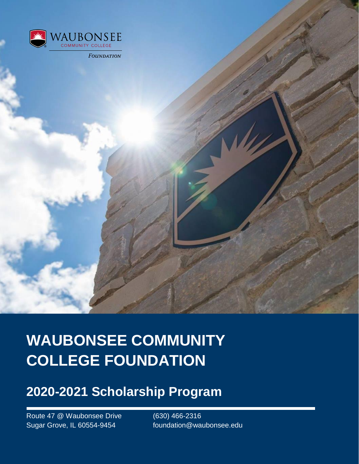

**WAUBONSEE COMMUNITY COLLEGE FOUNDATION**

### **2020-2021 Scholarship Program**

Route 47 @ Waubonsee Drive (630) 466-2316 Sugar Grove, IL 60554-9454 foundation@waubonsee.edu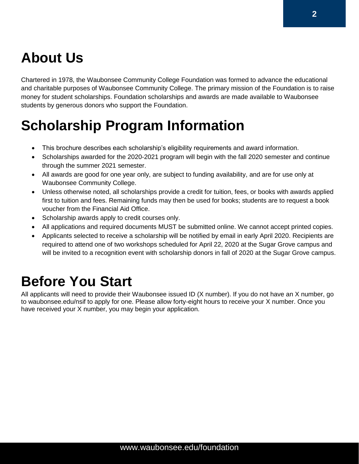# **About Us**

Chartered in 1978, the Waubonsee Community College Foundation was formed to advance the educational and charitable purposes of Waubonsee Community College. The primary mission of the Foundation is to raise money for student scholarships. Foundation scholarships and awards are made available to Waubonsee students by generous donors who support the Foundation.

# **Scholarship Program Information**

- This brochure describes each scholarship's eligibility requirements and award information.
- Scholarships awarded for the 2020-2021 program will begin with the fall 2020 semester and continue through the summer 2021 semester.
- All awards are good for one year only, are subject to funding availability, and are for use only at Waubonsee Community College.
- Unless otherwise noted, all scholarships provide a credit for tuition, fees, or books with awards applied first to tuition and fees. Remaining funds may then be used for books; students are to request a book voucher from the Financial Aid Office.
- Scholarship awards apply to credit courses only.
- All applications and required documents MUST be submitted online. We cannot accept printed copies.
- Applicants selected to receive a scholarship will be notified by email in early April 2020. Recipients are required to attend one of two workshops scheduled for April 22, 2020 at the Sugar Grove campus and will be invited to a recognition event with scholarship donors in fall of 2020 at the Sugar Grove campus.

## **Before You Start**

All applicants will need to provide their Waubonsee issued ID (X number). If you do not have an X number, go to waubonsee.edu/nsif to apply for one. Please allow forty-eight hours to receive your X number. Once you have received your X number, you may begin your application.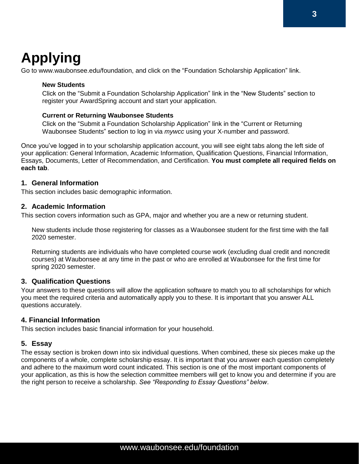# **Applying**

Go to www.waubonsee.edu/foundation, and click on the "Foundation Scholarship Application" link.

#### **New Students**

Click on the "Submit a Foundation Scholarship Application" link in the "New Students" section to register your AwardSpring account and start your application.

#### **Current or Returning Waubonsee Students**

Click on the "Submit a Foundation Scholarship Application" link in the "Current or Returning Waubonsee Students" section to log in via *mywcc* using your X-number and password.

Once you've logged in to your scholarship application account, you will see eight tabs along the left side of your application: General Information, Academic Information, Qualification Questions, Financial Information, Essays, Documents, Letter of Recommendation, and Certification. **You must complete all required fields on each tab**.

#### **1. General Information**

This section includes basic demographic information.

#### **2. Academic Information**

This section covers information such as GPA, major and whether you are a new or returning student.

New students include those registering for classes as a Waubonsee student for the first time with the fall 2020 semester.

Returning students are individuals who have completed course work (excluding dual credit and noncredit courses) at Waubonsee at any time in the past or who are enrolled at Waubonsee for the first time for spring 2020 semester.

#### **3. Qualification Questions**

Your answers to these questions will allow the application software to match you to all scholarships for which you meet the required criteria and automatically apply you to these. It is important that you answer ALL questions accurately.

#### **4. Financial Information**

This section includes basic financial information for your household.

#### **5. Essay**

The essay section is broken down into six individual questions. When combined, these six pieces make up the components of a whole, complete scholarship essay. It is important that you answer each question completely and adhere to the maximum word count indicated. This section is one of the most important components of your application, as this is how the selection committee members will get to know you and determine if you are the right person to receive a scholarship. *See "Responding to Essay Questions" below*.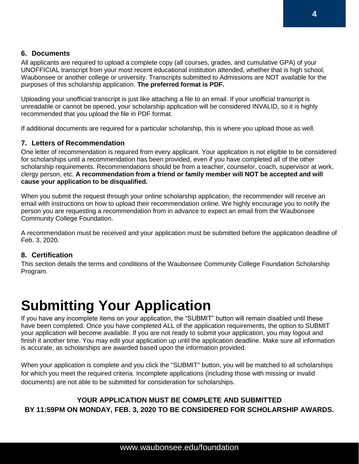### **6. Documents**

All applicants are required to upload a complete copy (all courses, grades, and cumulative GPA) of your UNOFFICIAL transcript from your most recent educational institution attended, whether that is high school, Waubonsee or another college or university. Transcripts submitted to Admissions are NOT available for the purposes of this scholarship application. **The preferred format is PDF.**

Uploading your unofficial transcript is just like attaching a file to an email. If your unofficial transcript is unreadable or cannot be opened, your scholarship application will be considered INVALID, so it is highly recommended that you upload the file in PDF format.

If additional documents are required for a particular scholarship, this is where you upload those as well.

### **7. Letters of Recommendation**

One letter of recommendation is required from every applicant. Your application is not eligible to be considered for scholarships until a recommendation has been provided, even if you have completed all of the other scholarship requirements. Recommendations should be from a teacher, counselor, coach, supervisor at work, clergy person, etc. **A recommendation from a friend or family member will NOT be accepted and will cause your application to be disqualified.**

When you submit the request through your online scholarship application, the recommender will receive an email with instructions on how to upload their recommendation online. We highly encourage you to notify the person you are requesting a recommendation from in advance to expect an email from the Waubonsee Community College Foundation.

A recommendation must be received and your application must be submitted before the application deadline of Feb. 3, 2020.

#### **8. Certification**

This section details the terms and conditions of the Waubonsee Community College Foundation Scholarship Program.

## **Submitting Your Application**

If you have any incomplete items on your application, the "SUBMIT" button will remain disabled until these have been completed. Once you have completed ALL of the application requirements, the option to SUBMIT your application will become available. If you are not ready to submit your application, you may logout and finish it another time. You may edit your application up until the application deadline. Make sure all information is accurate, as scholarships are awarded based upon the information provided.

When your application is complete and you click the "SUBMIT" button, you will be matched to all scholarships for which you meet the required criteria. Incomplete applications (including those with missing or invalid documents) are not able to be submitted for consideration for scholarships.

### **YOUR APPLICATION MUST BE COMPLETE AND SUBMITTED BY 11:59PM ON MONDAY, FEB. 3, 2020 TO BE CONSIDERED FOR SCHOLARSHIP AWARDS.**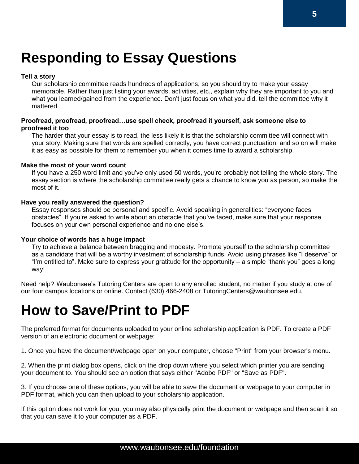# **Responding to Essay Questions**

#### **Tell a story**

Our scholarship committee reads hundreds of applications, so you should try to make your essay memorable. Rather than just listing your awards, activities, etc., explain why they are important to you and what you learned/gained from the experience. Don't just focus on what you did, tell the committee why it mattered.

#### **Proofread, proofread, proofread…use spell check, proofread it yourself, ask someone else to proofread it too**

The harder that your essay is to read, the less likely it is that the scholarship committee will connect with your story. Making sure that words are spelled correctly, you have correct punctuation, and so on will make it as easy as possible for them to remember you when it comes time to award a scholarship.

#### **Make the most of your word count**

If you have a 250 word limit and you've only used 50 words, you're probably not telling the whole story. The essay section is where the scholarship committee really gets a chance to know you as person, so make the most of it.

#### **Have you really answered the question?**

Essay responses should be personal and specific. Avoid speaking in generalities: "everyone faces obstacles". If you're asked to write about an obstacle that you've faced, make sure that your response focuses on your own personal experience and no one else's.

#### **Your choice of words has a huge impact**

Try to achieve a balance between bragging and modesty. Promote yourself to the scholarship committee as a candidate that will be a worthy investment of scholarship funds. Avoid using phrases like "I deserve" or "I'm entitled to". Make sure to express your gratitude for the opportunity – a simple "thank you" goes a long way!

Need help? Waubonsee's Tutoring Centers are open to any enrolled student, no matter if you study at one of our four campus locations or online. Contact (630) 466-2408 or TutoringCenters@waubonsee.edu.

## **How to Save/Print to PDF**

The preferred format for documents uploaded to your online scholarship application is PDF. To create a PDF version of an electronic document or webpage:

1. Once you have the document/webpage open on your computer, choose "Print" from your browser's menu.

2. When the print dialog box opens, click on the drop down where you select which printer you are sending your document to. You should see an option that says either "Adobe PDF" or "Save as PDF".

3. If you choose one of these options, you will be able to save the document or webpage to your computer in PDF format, which you can then upload to your scholarship application.

If this option does not work for you, you may also physically print the document or webpage and then scan it so that you can save it to your computer as a PDF.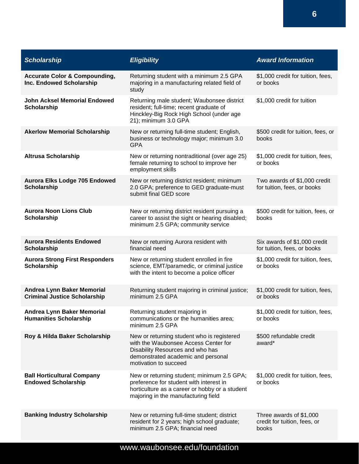| <b>Scholarship</b>                                                       | <b>Eligibility</b>                                                                                                                                                                    | <b>Award Information</b>                                         |
|--------------------------------------------------------------------------|---------------------------------------------------------------------------------------------------------------------------------------------------------------------------------------|------------------------------------------------------------------|
| <b>Accurate Color &amp; Compounding,</b><br>Inc. Endowed Scholarship     | Returning student with a minimum 2.5 GPA<br>majoring in a manufacturing related field of<br>study                                                                                     | \$1,000 credit for tuition, fees,<br>or books                    |
| <b>John Acksel Memorial Endowed</b><br><b>Scholarship</b>                | Returning male student; Waubonsee district<br>resident; full-time; recent graduate of<br>Hinckley-Big Rock High School (under age<br>21); minimum 3.0 GPA                             | \$1,000 credit for tuition                                       |
| <b>Akerlow Memorial Scholarship</b>                                      | New or returning full-time student; English,<br>business or technology major; minimum 3.0<br><b>GPA</b>                                                                               | \$500 credit for tuition, fees, or<br>books                      |
| <b>Altrusa Scholarship</b>                                               | New or returning nontraditional (over age 25)<br>female returning to school to improve her<br>employment skills                                                                       | \$1,000 credit for tuition, fees,<br>or books                    |
| Aurora Elks Lodge 705 Endowed<br><b>Scholarship</b>                      | New or returning district resident; minimum<br>2.0 GPA; preference to GED graduate-must<br>submit final GED score                                                                     | Two awards of \$1,000 credit<br>for tuition, fees, or books      |
| <b>Aurora Noon Lions Club</b><br><b>Scholarship</b>                      | New or returning district resident pursuing a<br>career to assist the sight or hearing disabled;<br>minimum 2.5 GPA; community service                                                | \$500 credit for tuition, fees, or<br>books                      |
| <b>Aurora Residents Endowed</b><br>Scholarship                           | New or returning Aurora resident with<br>financial need                                                                                                                               | Six awards of \$1,000 credit<br>for tuition, fees, or books      |
| <b>Aurora Strong First Responders</b><br><b>Scholarship</b>              | New or returning student enrolled in fire<br>science, EMT/paramedic, or criminal justice<br>with the intent to become a police officer                                                | \$1,000 credit for tuition, fees,<br>or books                    |
| <b>Andrea Lynn Baker Memorial</b><br><b>Criminal Justice Scholarship</b> | Returning student majoring in criminal justice;<br>minimum 2.5 GPA                                                                                                                    | \$1,000 credit for tuition, fees,<br>or books                    |
| Andrea Lynn Baker Memorial<br><b>Humanities Scholarship</b>              | Returning student majoring in<br>communications or the humanities area;<br>minimum 2.5 GPA                                                                                            | \$1,000 credit for tuition, fees,<br>or books                    |
| Roy & Hilda Baker Scholarship                                            | New or returning student who is registered<br>with the Waubonsee Access Center for<br>Disability Resources and who has<br>demonstrated academic and personal<br>motivation to succeed | \$500 refundable credit<br>award*                                |
| <b>Ball Horticultural Company</b><br><b>Endowed Scholarship</b>          | New or returning student; minimum 2.5 GPA;<br>preference for student with interest in<br>horticulture as a career or hobby or a student<br>majoring in the manufacturing field        | \$1,000 credit for tuition, fees,<br>or books                    |
| <b>Banking Industry Scholarship</b>                                      | New or returning full-time student; district<br>resident for 2 years; high school graduate;<br>minimum 2.5 GPA; financial need                                                        | Three awards of \$1,000<br>credit for tuition, fees, or<br>books |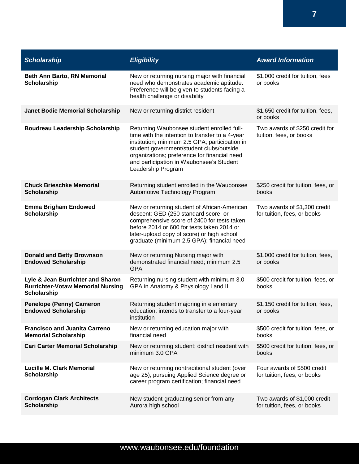| <b>Scholarship</b>                                                                                  | <b>Eligibility</b>                                                                                                                                                                                                                                                                                            | <b>Award Information</b>                                    |
|-----------------------------------------------------------------------------------------------------|---------------------------------------------------------------------------------------------------------------------------------------------------------------------------------------------------------------------------------------------------------------------------------------------------------------|-------------------------------------------------------------|
| Beth Ann Barto, RN Memorial<br><b>Scholarship</b>                                                   | New or returning nursing major with financial<br>need who demonstrates academic aptitude.<br>Preference will be given to students facing a<br>health challenge or disability                                                                                                                                  | \$1,000 credit for tuition, fees<br>or books                |
| <b>Janet Bodie Memorial Scholarship</b>                                                             | New or returning district resident                                                                                                                                                                                                                                                                            | \$1,650 credit for tuition, fees,<br>or books               |
| <b>Boudreau Leadership Scholarship</b>                                                              | Returning Waubonsee student enrolled full-<br>time with the intention to transfer to a 4-year<br>institution; minimum 2.5 GPA; participation in<br>student government/student clubs/outside<br>organizations; preference for financial need<br>and participation in Waubonsee's Student<br>Leadership Program | Two awards of \$250 credit for<br>tuition, fees, or books   |
| <b>Chuck Brieschke Memorial</b><br><b>Scholarship</b>                                               | Returning student enrolled in the Waubonsee<br>Automotive Technology Program                                                                                                                                                                                                                                  | \$250 credit for tuition, fees, or<br>books                 |
| <b>Emma Brigham Endowed</b><br><b>Scholarship</b>                                                   | New or returning student of African-American<br>descent; GED (250 standard score, or<br>comprehensive score of 2400 for tests taken<br>before 2014 or 600 for tests taken 2014 or<br>later-upload copy of score) or high school<br>graduate (minimum 2.5 GPA); financial need                                 | Two awards of \$1,300 credit<br>for tuition, fees, or books |
| <b>Donald and Betty Brownson</b><br><b>Endowed Scholarship</b>                                      | New or returning Nursing major with<br>demonstrated financial need; minimum 2.5<br><b>GPA</b>                                                                                                                                                                                                                 | \$1,000 credit for tuition, fees,<br>or books               |
| Lyle & Jean Burrichter and Sharon<br><b>Burrichter-Votaw Memorial Nursing</b><br><b>Scholarship</b> | Returning nursing student with minimum 3.0<br>GPA in Anatomy & Physiology I and II                                                                                                                                                                                                                            | \$500 credit for tuition, fees, or<br>books                 |
| <b>Penelope (Penny) Cameron</b><br><b>Endowed Scholarship</b>                                       | Returning student majoring in elementary<br>education; intends to transfer to a four-year<br>institution                                                                                                                                                                                                      | \$1,150 credit for tuition, fees,<br>or books               |
| <b>Francisco and Juanita Carreno</b><br><b>Memorial Scholarship</b>                                 | New or returning education major with<br>financial need                                                                                                                                                                                                                                                       | \$500 credit for tuition, fees, or<br>books                 |
| <b>Cari Carter Memorial Scholarship</b>                                                             | New or returning student; district resident with<br>minimum 3.0 GPA                                                                                                                                                                                                                                           | \$500 credit for tuition, fees, or<br>books                 |
| <b>Lucille M. Clark Memorial</b><br><b>Scholarship</b>                                              | New or returning nontraditional student (over<br>age 25); pursuing Applied Science degree or<br>career program certification; financial need                                                                                                                                                                  | Four awards of \$500 credit<br>for tuition, fees, or books  |
| <b>Cordogan Clark Architects</b><br><b>Scholarship</b>                                              | New student-graduating senior from any<br>Aurora high school                                                                                                                                                                                                                                                  | Two awards of \$1,000 credit<br>for tuition, fees, or books |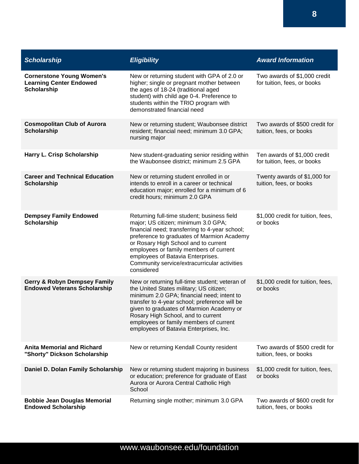| <b>Scholarship</b>                                                                | <b>Eligibility</b>                                                                                                                                                                                                                                                                                                                                                      | <b>Award Information</b>                                    |
|-----------------------------------------------------------------------------------|-------------------------------------------------------------------------------------------------------------------------------------------------------------------------------------------------------------------------------------------------------------------------------------------------------------------------------------------------------------------------|-------------------------------------------------------------|
| <b>Cornerstone Young Women's</b><br><b>Learning Center Endowed</b><br>Scholarship | New or returning student with GPA of 2.0 or<br>higher; single or pregnant mother between<br>the ages of 18-24 (traditional aged<br>student) with child age 0-4. Preference to<br>students within the TRIO program with<br>demonstrated financial need                                                                                                                   | Two awards of \$1,000 credit<br>for tuition, fees, or books |
| <b>Cosmopolitan Club of Aurora</b><br><b>Scholarship</b>                          | New or returning student; Waubonsee district<br>resident; financial need; minimum 3.0 GPA;<br>nursing major                                                                                                                                                                                                                                                             | Two awards of \$500 credit for<br>tuition, fees, or books   |
| Harry L. Crisp Scholarship                                                        | New student-graduating senior residing within<br>the Waubonsee district; minimum 2.5 GPA                                                                                                                                                                                                                                                                                | Ten awards of \$1,000 credit<br>for tuition, fees, or books |
| <b>Career and Technical Education</b><br><b>Scholarship</b>                       | New or returning student enrolled in or<br>intends to enroll in a career or technical<br>education major; enrolled for a minimum of 6<br>credit hours; minimum 2.0 GPA                                                                                                                                                                                                  | Twenty awards of \$1,000 for<br>tuition, fees, or books     |
| <b>Dempsey Family Endowed</b><br><b>Scholarship</b>                               | Returning full-time student; business field<br>major; US citizen; minimum 3.0 GPA;<br>financial need; transferring to 4-year school;<br>preference to graduates of Marmion Academy<br>or Rosary High School and to current<br>employees or family members of current<br>employees of Batavia Enterprises.<br>Community service/extracurricular activities<br>considered | \$1,000 credit for tuition, fees,<br>or books               |
| <b>Gerry &amp; Robyn Dempsey Family</b><br><b>Endowed Veterans Scholarship</b>    | New or returning full-time student; veteran of<br>the United States military; US citizen;<br>minimum 2.0 GPA; financial need; intent to<br>transfer to 4-year school; preference will be<br>given to graduates of Marmion Academy or<br>Rosary High School, and to current<br>employees or family members of current<br>employees of Batavia Enterprises, Inc.          | \$1,000 credit for tuition, fees,<br>or books               |
| <b>Anita Memorial and Richard</b><br>"Shorty" Dickson Scholarship                 | New or returning Kendall County resident                                                                                                                                                                                                                                                                                                                                | Two awards of \$500 credit for<br>tuition, fees, or books   |
| Daniel D. Dolan Family Scholarship                                                | New or returning student majoring in business<br>or education; preference for graduate of East<br>Aurora or Aurora Central Catholic High<br>School                                                                                                                                                                                                                      | \$1,000 credit for tuition, fees,<br>or books               |
| <b>Bobbie Jean Douglas Memorial</b><br><b>Endowed Scholarship</b>                 | Returning single mother; minimum 3.0 GPA                                                                                                                                                                                                                                                                                                                                | Two awards of \$600 credit for<br>tuition, fees, or books   |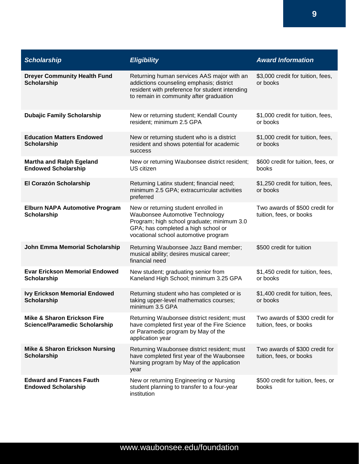| <b>Scholarship</b>                                                             | <b>Eligibility</b>                                                                                                                                                                                   | <b>Award Information</b>                                  |
|--------------------------------------------------------------------------------|------------------------------------------------------------------------------------------------------------------------------------------------------------------------------------------------------|-----------------------------------------------------------|
| <b>Dreyer Community Health Fund</b><br><b>Scholarship</b>                      | Returning human services AAS major with an<br>addictions counseling emphasis; district<br>resident with preference for student intending<br>to remain in community after graduation                  | \$3,000 credit for tuition, fees,<br>or books             |
| <b>Dubajic Family Scholarship</b>                                              | New or returning student; Kendall County<br>resident; minimum 2.5 GPA                                                                                                                                | \$1,000 credit for tuition, fees,<br>or books             |
| <b>Education Matters Endowed</b><br><b>Scholarship</b>                         | New or returning student who is a district<br>resident and shows potential for academic<br><b>SUCCESS</b>                                                                                            | \$1,000 credit for tuition, fees,<br>or books             |
| <b>Martha and Ralph Egeland</b><br><b>Endowed Scholarship</b>                  | New or returning Waubonsee district resident;<br>US citizen                                                                                                                                          | \$600 credit for tuition, fees, or<br>books               |
| El Corazón Scholarship                                                         | Returning Latinx student; financial need;<br>minimum 2.5 GPA; extracurricular activities<br>preferred                                                                                                | \$1,250 credit for tuition, fees,<br>or books             |
| <b>Elburn NAPA Automotive Program</b><br>Scholarship                           | New or returning student enrolled in<br>Waubonsee Automotive Technology<br>Program; high school graduate; minimum 3.0<br>GPA; has completed a high school or<br>vocational school automotive program | Two awards of \$500 credit for<br>tuition, fees, or books |
| John Emma Memorial Scholarship                                                 | Returning Waubonsee Jazz Band member;<br>musical ability; desires musical career;<br>financial need                                                                                                  | \$500 credit for tuition                                  |
| <b>Evar Erickson Memorial Endowed</b><br>Scholarship                           | New student; graduating senior from<br>Kaneland High School; minimum 3.25 GPA                                                                                                                        | \$1,450 credit for tuition, fees,<br>or books             |
| <b>Ivy Erickson Memorial Endowed</b><br><b>Scholarship</b>                     | Returning student who has completed or is<br>taking upper-level mathematics courses;<br>minimum 3.5 GPA                                                                                              | \$1,400 credit for tuition, fees,<br>or books             |
| <b>Mike &amp; Sharon Erickson Fire</b><br><b>Science/Paramedic Scholarship</b> | Returning Waubonsee district resident; must<br>have completed first year of the Fire Science<br>or Paramedic program by May of the<br>application year                                               | Two awards of \$300 credit for<br>tuition, fees, or books |
| <b>Mike &amp; Sharon Erickson Nursing</b><br><b>Scholarship</b>                | Returning Waubonsee district resident; must<br>have completed first year of the Waubonsee<br>Nursing program by May of the application<br>year                                                       | Two awards of \$300 credit for<br>tuition, fees, or books |
| <b>Edward and Frances Fauth</b><br><b>Endowed Scholarship</b>                  | New or returning Engineering or Nursing<br>student planning to transfer to a four-year<br>institution                                                                                                | \$500 credit for tuition, fees, or<br>books               |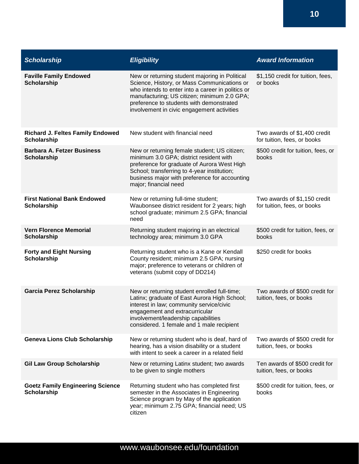| <b>Scholarship</b>                                            | <b>Eligibility</b>                                                                                                                                                                                                                                                                          | <b>Award Information</b>                                    |
|---------------------------------------------------------------|---------------------------------------------------------------------------------------------------------------------------------------------------------------------------------------------------------------------------------------------------------------------------------------------|-------------------------------------------------------------|
| <b>Faville Family Endowed</b><br><b>Scholarship</b>           | New or returning student majoring in Political<br>Science, History, or Mass Communications or<br>who intends to enter into a career in politics or<br>manufacturing; US citizen; minimum 2.0 GPA;<br>preference to students with demonstrated<br>involvement in civic engagement activities | \$1,150 credit for tuition, fees,<br>or books               |
| <b>Richard J. Feltes Family Endowed</b><br><b>Scholarship</b> | New student with financial need                                                                                                                                                                                                                                                             | Two awards of \$1,400 credit<br>for tuition, fees, or books |
| <b>Barbara A. Fetzer Business</b><br><b>Scholarship</b>       | New or returning female student; US citizen;<br>minimum 3.0 GPA; district resident with<br>preference for graduate of Aurora West High<br>School; transferring to 4-year institution;<br>business major with preference for accounting<br>major; financial need                             | \$500 credit for tuition, fees, or<br>books                 |
| <b>First National Bank Endowed</b><br><b>Scholarship</b>      | New or returning full-time student;<br>Waubonsee district resident for 2 years; high<br>school graduate; minimum 2.5 GPA; financial<br>need                                                                                                                                                 | Two awards of \$1,150 credit<br>for tuition, fees, or books |
| <b>Vern Florence Memorial</b><br><b>Scholarship</b>           | Returning student majoring in an electrical<br>technology area; minimum 3.0 GPA                                                                                                                                                                                                             | \$500 credit for tuition, fees, or<br>books                 |
| <b>Forty and Eight Nursing</b><br><b>Scholarship</b>          | Returning student who is a Kane or Kendall<br>County resident; minimum 2.5 GPA; nursing<br>major; preference to veterans or children of<br>veterans (submit copy of DD214)                                                                                                                  | \$250 credit for books                                      |
| <b>Garcia Perez Scholarship</b>                               | New or returning student enrolled full-time;<br>Latinx; graduate of East Aurora High School;<br>interest in law; community service/civic<br>engagement and extracurricular<br>involvement/leadership capabilities<br>considered. 1 female and 1 male recipient                              | Two awards of \$500 credit for<br>tuition, fees, or books   |
| <b>Geneva Lions Club Scholarship</b>                          | New or returning student who is deaf, hard of<br>hearing, has a vision disability or a student<br>with intent to seek a career in a related field                                                                                                                                           | Two awards of \$500 credit for<br>tuition, fees, or books   |
| <b>Gil Law Group Scholarship</b>                              | New or returning Latinx student; two awards<br>to be given to single mothers                                                                                                                                                                                                                | Ten awards of \$500 credit for<br>tuition, fees, or books   |
| <b>Goetz Family Engineering Science</b><br><b>Scholarship</b> | Returning student who has completed first<br>semester in the Associates in Engineering<br>Science program by May of the application<br>year; minimum 2.75 GPA; financial need; US<br>citizen                                                                                                | \$500 credit for tuition, fees, or<br>books                 |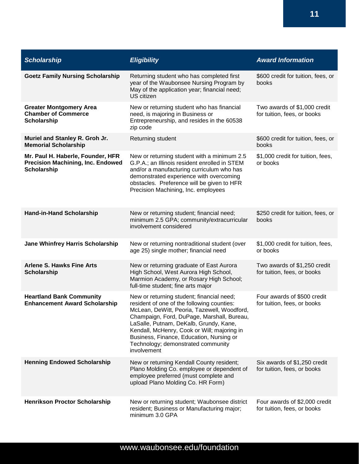| <b>Scholarship</b>                                                                                  | <b>Eligibility</b>                                                                                                                                                                                                                                                                                                                                                             | <b>Award Information</b>                                     |
|-----------------------------------------------------------------------------------------------------|--------------------------------------------------------------------------------------------------------------------------------------------------------------------------------------------------------------------------------------------------------------------------------------------------------------------------------------------------------------------------------|--------------------------------------------------------------|
| <b>Goetz Family Nursing Scholarship</b>                                                             | Returning student who has completed first<br>year of the Waubonsee Nursing Program by<br>May of the application year; financial need;<br>US citizen                                                                                                                                                                                                                            | \$600 credit for tuition, fees, or<br>books                  |
| <b>Greater Montgomery Area</b><br><b>Chamber of Commerce</b><br><b>Scholarship</b>                  | New or returning student who has financial<br>need, is majoring in Business or<br>Entrepreneurship, and resides in the 60538<br>zip code                                                                                                                                                                                                                                       | Two awards of \$1,000 credit<br>for tuition, fees, or books  |
| Muriel and Stanley R. Groh Jr.<br><b>Memorial Scholarship</b>                                       | Returning student                                                                                                                                                                                                                                                                                                                                                              | \$600 credit for tuition, fees, or<br>books                  |
| Mr. Paul H. Haberle, Founder, HFR<br><b>Precision Machining, Inc. Endowed</b><br><b>Scholarship</b> | New or returning student with a minimum 2.5<br>G.P.A.; an Illinois resident enrolled in STEM<br>and/or a manufacturing curriculum who has<br>demonstrated experience with overcoming<br>obstacles. Preference will be given to HFR<br>Precision Machining, Inc. employees                                                                                                      | \$1,000 credit for tuition, fees,<br>or books                |
| <b>Hand-in-Hand Scholarship</b>                                                                     | New or returning student; financial need;<br>minimum 2.5 GPA; community/extracurricular<br>involvement considered                                                                                                                                                                                                                                                              | \$250 credit for tuition, fees, or<br>books                  |
| <b>Jane Whinfrey Harris Scholarship</b>                                                             | New or returning nontraditional student (over<br>age 25) single mother; financial need                                                                                                                                                                                                                                                                                         | \$1,000 credit for tuition, fees,<br>or books                |
| <b>Arlene S. Hawks Fine Arts</b><br><b>Scholarship</b>                                              | New or returning graduate of East Aurora<br>High School, West Aurora High School,<br>Marmion Academy, or Rosary High School;<br>full-time student; fine arts major                                                                                                                                                                                                             | Two awards of \$1,250 credit<br>for tuition, fees, or books  |
| <b>Heartland Bank Community</b><br><b>Enhancement Award Scholarship</b>                             | New or returning student; financial need;<br>resident of one of the following counties:<br>McLean, DeWitt, Peoria, Tazewell, Woodford,<br>Champaign, Ford, DuPage, Marshall, Bureau,<br>LaSalle, Putnam, DeKalb, Grundy, Kane,<br>Kendall, McHenry, Cook or Will; majoring in<br>Business, Finance, Education, Nursing or<br>Technology; demonstrated community<br>involvement | Four awards of \$500 credit<br>for tuition, fees, or books   |
| <b>Henning Endowed Scholarship</b>                                                                  | New or returning Kendall County resident;<br>Plano Molding Co. employee or dependent of<br>employee preferred (must complete and<br>upload Plano Molding Co. HR Form)                                                                                                                                                                                                          | Six awards of \$1,250 credit<br>for tuition, fees, or books  |
| <b>Henrikson Proctor Scholarship</b>                                                                | New or returning student; Waubonsee district<br>resident; Business or Manufacturing major;<br>minimum 3.0 GPA                                                                                                                                                                                                                                                                  | Four awards of \$2,000 credit<br>for tuition, fees, or books |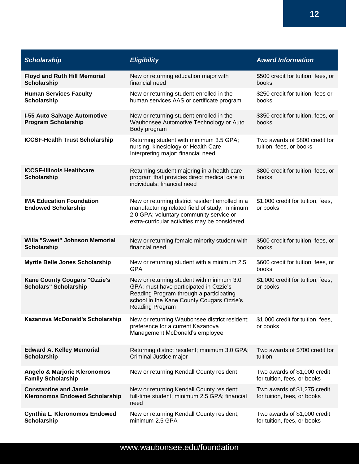| <b>Scholarship</b>                                                    | <b>Eligibility</b>                                                                                                                                                                             | <b>Award Information</b>                                    |
|-----------------------------------------------------------------------|------------------------------------------------------------------------------------------------------------------------------------------------------------------------------------------------|-------------------------------------------------------------|
| <b>Floyd and Ruth Hill Memorial</b><br><b>Scholarship</b>             | New or returning education major with<br>financial need                                                                                                                                        | \$500 credit for tuition, fees, or<br>books                 |
| <b>Human Services Faculty</b><br><b>Scholarship</b>                   | New or returning student enrolled in the<br>human services AAS or certificate program                                                                                                          | \$250 credit for tuition, fees or<br>books                  |
| <b>I-55 Auto Salvage Automotive</b><br><b>Program Scholarship</b>     | New or returning student enrolled in the<br>Waubonsee Automotive Technology or Auto<br>Body program                                                                                            | \$350 credit for tuition, fees, or<br>books                 |
| <b>ICCSF-Health Trust Scholarship</b>                                 | Returning student with minimum 3.5 GPA;<br>nursing, kinesiology or Health Care<br>Interpreting major; financial need                                                                           | Two awards of \$800 credit for<br>tuition, fees, or books   |
| <b>ICCSF-Illinois Healthcare</b><br><b>Scholarship</b>                | Returning student majoring in a health care<br>program that provides direct medical care to<br>individuals; financial need                                                                     | \$800 credit for tuition, fees, or<br>books                 |
| <b>IMA Education Foundation</b><br><b>Endowed Scholarship</b>         | New or returning district resident enrolled in a<br>manufacturing related field of study; minimum<br>2.0 GPA; voluntary community service or<br>extra-curricular activities may be considered  | \$1,000 credit for tuition, fees,<br>or books               |
| Willa "Sweet" Johnson Memorial<br><b>Scholarship</b>                  | New or returning female minority student with<br>financial need                                                                                                                                | \$500 credit for tuition, fees, or<br>books                 |
| <b>Myrtle Belle Jones Scholarship</b>                                 | New or returning student with a minimum 2.5<br><b>GPA</b>                                                                                                                                      | \$600 credit for tuition, fees, or<br>books                 |
| <b>Kane County Cougars "Ozzie's</b><br><b>Scholars" Scholarship</b>   | New or returning student with minimum 3.0<br>GPA; must have participated in Ozzie's<br>Reading Program through a participating<br>school in the Kane County Cougars Ozzie's<br>Reading Program | \$1,000 credit for tuition, fees,<br>or books               |
| Kazanova McDonald's Scholarship                                       | New or returning Waubonsee district resident;<br>preference for a current Kazanova<br>Management McDonald's employee                                                                           | \$1,000 credit for tuition, fees,<br>or books               |
| <b>Edward A. Kelley Memorial</b><br><b>Scholarship</b>                | Returning district resident; minimum 3.0 GPA;<br>Criminal Justice major                                                                                                                        | Two awards of \$700 credit for<br>tuition                   |
| <b>Angelo &amp; Marjorie Kleronomos</b><br><b>Family Scholarship</b>  | New or returning Kendall County resident                                                                                                                                                       | Two awards of \$1,000 credit<br>for tuition, fees, or books |
| <b>Constantine and Jamie</b><br><b>Kleronomos Endowed Scholarship</b> | New or returning Kendall County resident;<br>full-time student; minimum 2.5 GPA; financial<br>need                                                                                             | Two awards of \$1,275 credit<br>for tuition, fees, or books |
| Cynthia L. Kleronomos Endowed<br><b>Scholarship</b>                   | New or returning Kendall County resident;<br>minimum 2.5 GPA                                                                                                                                   | Two awards of \$1,000 credit<br>for tuition, fees, or books |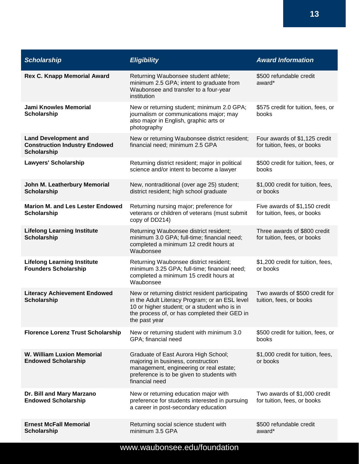| <b>Scholarship</b>                                                                        | <b>Eligibility</b>                                                                                                                                                                                                   | <b>Award Information</b>                                     |
|-------------------------------------------------------------------------------------------|----------------------------------------------------------------------------------------------------------------------------------------------------------------------------------------------------------------------|--------------------------------------------------------------|
| <b>Rex C. Knapp Memorial Award</b>                                                        | Returning Waubonsee student athlete;<br>minimum 2.5 GPA; intent to graduate from<br>Waubonsee and transfer to a four-year<br>institution                                                                             | \$500 refundable credit<br>award*                            |
| <b>Jami Knowles Memorial</b><br><b>Scholarship</b>                                        | New or returning student; minimum 2.0 GPA;<br>journalism or communications major; may<br>also major in English, graphic arts or<br>photography                                                                       | \$575 credit for tuition, fees, or<br>books                  |
| <b>Land Development and</b><br><b>Construction Industry Endowed</b><br><b>Scholarship</b> | New or returning Waubonsee district resident;<br>financial need; minimum 2.5 GPA                                                                                                                                     | Four awards of \$1,125 credit<br>for tuition, fees, or books |
| Lawyers' Scholarship                                                                      | Returning district resident; major in political<br>science and/or intent to become a lawyer                                                                                                                          | \$500 credit for tuition, fees, or<br>books                  |
| John M. Leatherbury Memorial<br><b>Scholarship</b>                                        | New, nontraditional (over age 25) student;<br>district resident; high school graduate                                                                                                                                | \$1,000 credit for tuition, fees,<br>or books                |
| <b>Marion M. and Les Lester Endowed</b><br><b>Scholarship</b>                             | Returning nursing major; preference for<br>veterans or children of veterans (must submit<br>copy of DD214)                                                                                                           | Five awards of \$1,150 credit<br>for tuition, fees, or books |
| <b>Lifelong Learning Institute</b><br><b>Scholarship</b>                                  | Returning Waubonsee district resident;<br>minimum 3.0 GPA; full-time; financial need;<br>completed a minimum 12 credit hours at<br>Waubonsee                                                                         | Three awards of \$800 credit<br>for tuition, fees, or books  |
| <b>Lifelong Learning Institute</b><br><b>Founders Scholarship</b>                         | Returning Waubonsee district resident;<br>minimum 3.25 GPA; full-time; financial need;<br>completed a minimum 15 credit hours at<br>Waubonsee                                                                        | \$1,200 credit for tuition, fees,<br>or books                |
| <b>Literacy Achievement Endowed</b><br><b>Scholarship</b>                                 | New or returning district resident participating<br>in the Adult Literacy Program; or an ESL level<br>10 or higher student; or a student who is in<br>the process of, or has completed their GED in<br>the past year | Two awards of \$500 credit for<br>tuition, fees, or books    |
| <b>Florence Lorenz Trust Scholarship</b>                                                  | New or returning student with minimum 3.0<br>GPA; financial need                                                                                                                                                     | \$500 credit for tuition, fees, or<br>books                  |
| <b>W. William Luxion Memorial</b><br><b>Endowed Scholarship</b>                           | Graduate of East Aurora High School;<br>majoring in business, construction<br>management, engineering or real estate;<br>preference is to be given to students with<br>financial need                                | \$1,000 credit for tuition, fees,<br>or books                |
| Dr. Bill and Mary Marzano<br><b>Endowed Scholarship</b>                                   | New or returning education major with<br>preference for students interested in pursuing<br>a career in post-secondary education                                                                                      | Two awards of \$1,000 credit<br>for tuition, fees, or books  |
| <b>Ernest McFall Memorial</b><br><b>Scholarship</b>                                       | Returning social science student with<br>minimum 3.5 GPA                                                                                                                                                             | \$500 refundable credit<br>award*                            |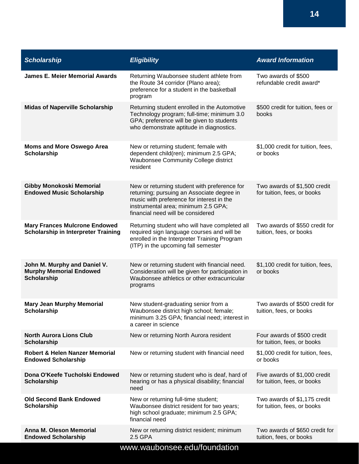| <b>Scholarship</b>                                                                   | <b>Eligibility</b>                                                                                                                                                                                                  | <b>Award Information</b>                                     |
|--------------------------------------------------------------------------------------|---------------------------------------------------------------------------------------------------------------------------------------------------------------------------------------------------------------------|--------------------------------------------------------------|
| <b>James E. Meier Memorial Awards</b>                                                | Returning Waubonsee student athlete from<br>the Route 34 corridor (Plano area);<br>preference for a student in the basketball<br>program                                                                            | Two awards of \$500<br>refundable credit award*              |
| <b>Midas of Naperville Scholarship</b>                                               | Returning student enrolled in the Automotive<br>Technology program; full-time; minimum 3.0<br>GPA; preference will be given to students<br>who demonstrate aptitude in diagnostics.                                 | \$500 credit for tuition, fees or<br>books                   |
| <b>Moms and More Oswego Area</b><br>Scholarship                                      | New or returning student; female with<br>dependent child(ren); minimum 2.5 GPA;<br>Waubonsee Community College district<br>resident                                                                                 | \$1,000 credit for tuition, fees,<br>or books                |
| <b>Gibby Monokoski Memorial</b><br><b>Endowed Music Scholarship</b>                  | New or returning student with preference for<br>returning; pursuing an Associate degree in<br>music with preference for interest in the<br>instrumental area; minimum 2.5 GPA;<br>financial need will be considered | Two awards of \$1,500 credit<br>for tuition, fees, or books  |
| <b>Mary Frances Mulcrone Endowed</b><br><b>Scholarship in Interpreter Training</b>   | Returning student who will have completed all<br>required sign language courses and will be<br>enrolled in the Interpreter Training Program<br>(ITP) in the upcoming fall semester                                  | Two awards of \$550 credit for<br>tuition, fees, or books    |
| John M. Murphy and Daniel V.<br><b>Murphy Memorial Endowed</b><br><b>Scholarship</b> | New or returning student with financial need.<br>Consideration will be given for participation in<br>Waubonsee athletics or other extracurricular<br>programs                                                       | \$1,100 credit for tuition, fees,<br>or books                |
| <b>Mary Jean Murphy Memorial</b><br>Scholarship                                      | New student-graduating senior from a<br>Waubonsee district high school; female;<br>minimum 3.25 GPA; financial need; interest in<br>a career in science                                                             | Two awards of \$500 credit for<br>tuition, fees, or books    |
| <b>North Aurora Lions Club</b><br><b>Scholarship</b>                                 | New or returning North Aurora resident                                                                                                                                                                              | Four awards of \$500 credit<br>for tuition, fees, or books   |
| Robert & Helen Nanzer Memorial<br><b>Endowed Scholarship</b>                         | New or returning student with financial need                                                                                                                                                                        | \$1,000 credit for tuition, fees,<br>or books                |
| Dona O'Keefe Tucholski Endowed<br><b>Scholarship</b>                                 | New or returning student who is deaf, hard of<br>hearing or has a physical disability; financial<br>need                                                                                                            | Five awards of \$1,000 credit<br>for tuition, fees, or books |
| <b>Old Second Bank Endowed</b><br>Scholarship                                        | New or returning full-time student;<br>Waubonsee district resident for two years;<br>high school graduate; minimum 2.5 GPA;<br>financial need                                                                       | Two awards of \$1,175 credit<br>for tuition, fees, or books  |
| <b>Anna M. Oleson Memorial</b><br><b>Endowed Scholarship</b>                         | New or returning district resident; minimum<br>2.5 GPA                                                                                                                                                              | Two awards of \$650 credit for<br>tuition, fees, or books    |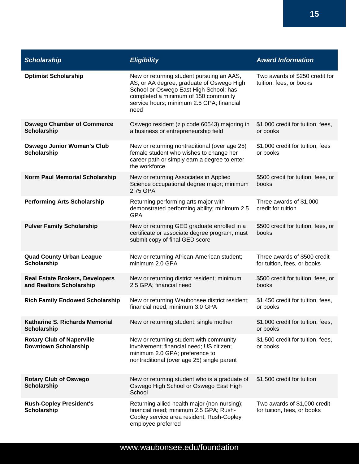| <b>Scholarship</b>                                                 | <b>Eligibility</b>                                                                                                                                                                                                            | <b>Award Information</b>                                    |
|--------------------------------------------------------------------|-------------------------------------------------------------------------------------------------------------------------------------------------------------------------------------------------------------------------------|-------------------------------------------------------------|
| <b>Optimist Scholarship</b>                                        | New or returning student pursuing an AAS,<br>AS, or AA degree; graduate of Oswego High<br>School or Oswego East High School; has<br>completed a minimum of 150 community<br>service hours; minimum 2.5 GPA; financial<br>need | Two awards of \$250 credit for<br>tuition, fees, or books   |
| <b>Oswego Chamber of Commerce</b><br><b>Scholarship</b>            | Oswego resident (zip code 60543) majoring in<br>a business or entrepreneurship field                                                                                                                                          | \$1,000 credit for tuition, fees,<br>or books               |
| <b>Oswego Junior Woman's Club</b><br><b>Scholarship</b>            | New or returning nontraditional (over age 25)<br>female student who wishes to change her<br>career path or simply earn a degree to enter<br>the workforce.                                                                    | \$1,000 credit for tuition, fees<br>or books                |
| <b>Norm Paul Memorial Scholarship</b>                              | New or returning Associates in Applied<br>Science occupational degree major; minimum<br>2.75 GPA                                                                                                                              | \$500 credit for tuition, fees, or<br>books                 |
| <b>Performing Arts Scholarship</b>                                 | Returning performing arts major with<br>demonstrated performing ability; minimum 2.5<br><b>GPA</b>                                                                                                                            | Three awards of \$1,000<br>credit for tuition               |
| <b>Pulver Family Scholarship</b>                                   | New or returning GED graduate enrolled in a<br>certificate or associate degree program; must<br>submit copy of final GED score                                                                                                | \$500 credit for tuition, fees, or<br>books                 |
| <b>Quad County Urban League</b><br><b>Scholarship</b>              | New or returning African-American student;<br>minimum 2.0 GPA                                                                                                                                                                 | Three awards of \$500 credit<br>for tuition, fees, or books |
| <b>Real Estate Brokers, Developers</b><br>and Realtors Scholarship | New or returning district resident; minimum<br>2.5 GPA; financial need                                                                                                                                                        | \$500 credit for tuition, fees, or<br>books                 |
| <b>Rich Family Endowed Scholarship</b>                             | New or returning Waubonsee district resident;<br>financial need; minimum 3.0 GPA                                                                                                                                              | \$1,450 credit for tuition, fees,<br>or books               |
| Katharine S. Richards Memorial<br><b>Scholarship</b>               | New or returning student; single mother                                                                                                                                                                                       | \$1,000 credit for tuition, fees,<br>or books               |
| <b>Rotary Club of Naperville</b><br><b>Downtown Scholarship</b>    | New or returning student with community<br>involvement; financial need; US citizen;<br>minimum 2.0 GPA; preference to<br>nontraditional (over age 25) single parent                                                           | \$1,500 credit for tuition, fees,<br>or books               |
| <b>Rotary Club of Oswego</b><br>Scholarship                        | New or returning student who is a graduate of<br>Oswego High School or Oswego East High<br>School                                                                                                                             | \$1,500 credit for tuition                                  |
| <b>Rush-Copley President's</b><br><b>Scholarship</b>               | Returning allied health major (non-nursing);<br>financial need; minimum 2.5 GPA; Rush-<br>Copley service area resident; Rush-Copley<br>employee preferred                                                                     | Two awards of \$1,000 credit<br>for tuition, fees, or books |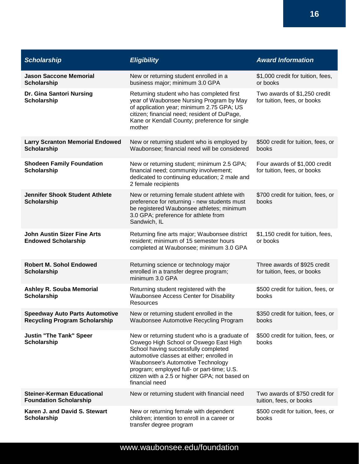| <b>Scholarship</b>                                                            | <b>Eligibility</b>                                                                                                                                                                                                                                                                                                                  | <b>Award Information</b>                                     |
|-------------------------------------------------------------------------------|-------------------------------------------------------------------------------------------------------------------------------------------------------------------------------------------------------------------------------------------------------------------------------------------------------------------------------------|--------------------------------------------------------------|
| <b>Jason Saccone Memorial</b><br><b>Scholarship</b>                           | New or returning student enrolled in a<br>business major; minimum 3.0 GPA                                                                                                                                                                                                                                                           | \$1,000 credit for tuition, fees,<br>or books                |
| Dr. Gina Santori Nursing<br><b>Scholarship</b>                                | Returning student who has completed first<br>year of Waubonsee Nursing Program by May<br>of application year; minimum 2.75 GPA; US<br>citizen; financial need; resident of DuPage,<br>Kane or Kendall County; preference for single<br>mother                                                                                       | Two awards of \$1,250 credit<br>for tuition, fees, or books  |
| <b>Larry Scranton Memorial Endowed</b><br><b>Scholarship</b>                  | New or returning student who is employed by<br>Waubonsee; financial need will be considered                                                                                                                                                                                                                                         | \$500 credit for tuition, fees, or<br>books                  |
| <b>Shodeen Family Foundation</b><br><b>Scholarship</b>                        | New or returning student; minimum 2.5 GPA;<br>financial need; community involvement;<br>dedicated to continuing education; 2 male and<br>2 female recipients                                                                                                                                                                        | Four awards of \$1,000 credit<br>for tuition, fees, or books |
| <b>Jennifer Shook Student Athlete</b><br><b>Scholarship</b>                   | New or returning female student athlete with<br>preference for returning - new students must<br>be registered Waubonsee athletes; minimum<br>3.0 GPA; preference for athlete from<br>Sandwich, IL                                                                                                                                   | \$700 credit for tuition, fees, or<br>books                  |
| <b>John Austin Sizer Fine Arts</b><br><b>Endowed Scholarship</b>              | Returning fine arts major; Waubonsee district<br>resident; minimum of 15 semester hours<br>completed at Waubonsee; minimum 3.0 GPA                                                                                                                                                                                                  | \$1,150 credit for tuition, fees,<br>or books                |
| <b>Robert M. Sohol Endowed</b><br><b>Scholarship</b>                          | Returning science or technology major<br>enrolled in a transfer degree program;<br>minimum 3.0 GPA                                                                                                                                                                                                                                  | Three awards of \$925 credit<br>for tuition, fees, or books  |
| <b>Ashley R. Souba Memorial</b><br>Scholarship                                | Returning student registered with the<br><b>Waubonsee Access Center for Disability</b><br>Resources                                                                                                                                                                                                                                 | \$500 credit for tuition, fees, or<br>books                  |
| <b>Speedway Auto Parts Automotive</b><br><b>Recycling Program Scholarship</b> | New or returning student enrolled in the<br>Waubonsee Automotive Recycling Program                                                                                                                                                                                                                                                  | \$350 credit for tuition, fees, or<br>books                  |
| <b>Justin "The Tank" Speer</b><br><b>Scholarship</b>                          | New or returning student who is a graduate of<br>Oswego High School or Oswego East High<br>School having successfully completed<br>automotive classes at either; enrolled in<br>Waubonsee's Automotive Technology<br>program; employed full- or part-time; U.S.<br>citizen with a 2.5 or higher GPA; not based on<br>financial need | \$500 credit for tuition, fees, or<br>books                  |
| <b>Steiner-Kerman Educational</b><br><b>Foundation Scholarship</b>            | New or returning student with financial need                                                                                                                                                                                                                                                                                        | Two awards of \$750 credit for<br>tuition, fees, or books    |
| Karen J. and David S. Stewart<br><b>Scholarship</b>                           | New or returning female with dependent<br>children; intention to enroll in a career or<br>transfer degree program                                                                                                                                                                                                                   | \$500 credit for tuition, fees, or<br>books                  |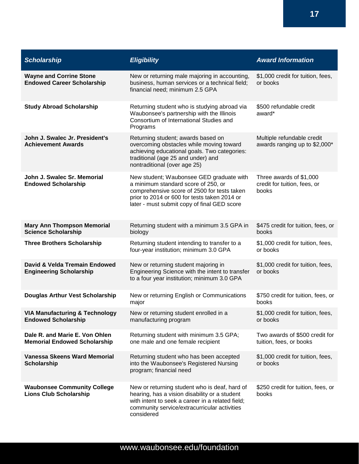| <b>Scholarship</b>                                                      | <b>Eligibility</b>                                                                                                                                                                                                            | <b>Award Information</b>                                         |
|-------------------------------------------------------------------------|-------------------------------------------------------------------------------------------------------------------------------------------------------------------------------------------------------------------------------|------------------------------------------------------------------|
| <b>Wayne and Corrine Stone</b><br><b>Endowed Career Scholarship</b>     | New or returning male majoring in accounting,<br>business, human services or a technical field;<br>financial need; minimum 2.5 GPA                                                                                            | \$1,000 credit for tuition, fees,<br>or books                    |
| <b>Study Abroad Scholarship</b>                                         | Returning student who is studying abroad via<br>Waubonsee's partnership with the Illinois<br>Consortium of International Studies and<br>Programs                                                                              | \$500 refundable credit<br>award*                                |
| John J. Swalec Jr. President's<br><b>Achievement Awards</b>             | Returning student; awards based on<br>overcoming obstacles while moving toward<br>achieving educational goals. Two categories:<br>traditional (age 25 and under) and<br>nontraditional (over age 25)                          | Multiple refundable credit<br>awards ranging up to \$2,000*      |
| John J. Swalec Sr. Memorial<br><b>Endowed Scholarship</b>               | New student; Waubonsee GED graduate with<br>a minimum standard score of 250, or<br>comprehensive score of 2500 for tests taken<br>prior to 2014 or 600 for tests taken 2014 or<br>later - must submit copy of final GED score | Three awards of \$1,000<br>credit for tuition, fees, or<br>books |
| <b>Mary Ann Thompson Memorial</b><br><b>Science Scholarship</b>         | Returning student with a minimum 3.5 GPA in<br>biology                                                                                                                                                                        | \$475 credit for tuition, fees, or<br>books                      |
| <b>Three Brothers Scholarship</b>                                       | Returning student intending to transfer to a<br>four-year institution; minimum 3.0 GPA                                                                                                                                        | \$1,000 credit for tuition, fees,<br>or books                    |
| David & Velda Tremain Endowed<br><b>Engineering Scholarship</b>         | New or returning student majoring in<br>Engineering Science with the intent to transfer<br>to a four year institution; minimum 3.0 GPA                                                                                        | \$1,000 credit for tuition, fees,<br>or books                    |
| <b>Douglas Arthur Vest Scholarship</b>                                  | New or returning English or Communications<br>major                                                                                                                                                                           | \$750 credit for tuition, fees, or<br>books                      |
| <b>VIA Manufacturing &amp; Technology</b><br><b>Endowed Scholarship</b> | New or returning student enrolled in a<br>manufacturing program                                                                                                                                                               | \$1,000 credit for tuition, fees,<br>or books                    |
| Dale R. and Marie E. Von Ohlen<br><b>Memorial Endowed Scholarship</b>   | Returning student with minimum 3.5 GPA;<br>one male and one female recipient                                                                                                                                                  | Two awards of \$500 credit for<br>tuition, fees, or books        |
| <b>Vanessa Skeens Ward Memorial</b><br><b>Scholarship</b>               | Returning student who has been accepted<br>into the Waubonsee's Registered Nursing<br>program; financial need                                                                                                                 | \$1,000 credit for tuition, fees,<br>or books                    |
| <b>Waubonsee Community College</b><br><b>Lions Club Scholarship</b>     | New or returning student who is deaf, hard of<br>hearing, has a vision disability or a student<br>with intent to seek a career in a related field;<br>community service/extracurricular activities<br>considered              | \$250 credit for tuition, fees, or<br>books                      |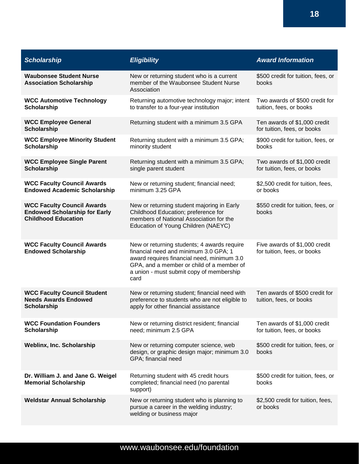| <b>Scholarship</b>                                                                                      | <b>Eligibility</b>                                                                                                                                                                                                                  | <b>Award Information</b>                                     |
|---------------------------------------------------------------------------------------------------------|-------------------------------------------------------------------------------------------------------------------------------------------------------------------------------------------------------------------------------------|--------------------------------------------------------------|
| <b>Waubonsee Student Nurse</b><br><b>Association Scholarship</b>                                        | New or returning student who is a current<br>member of the Waubonsee Student Nurse<br>Association                                                                                                                                   | \$500 credit for tuition, fees, or<br>books                  |
| <b>WCC Automotive Technology</b><br><b>Scholarship</b>                                                  | Returning automotive technology major; intent<br>to transfer to a four-year institution                                                                                                                                             | Two awards of \$500 credit for<br>tuition, fees, or books    |
| <b>WCC Employee General</b><br><b>Scholarship</b>                                                       | Returning student with a minimum 3.5 GPA                                                                                                                                                                                            | Ten awards of \$1,000 credit<br>for tuition, fees, or books  |
| <b>WCC Employee Minority Student</b><br><b>Scholarship</b>                                              | Returning student with a minimum 3.5 GPA;<br>minority student                                                                                                                                                                       | \$900 credit for tuition, fees, or<br>books                  |
| <b>WCC Employee Single Parent</b><br><b>Scholarship</b>                                                 | Returning student with a minimum 3.5 GPA;<br>single parent student                                                                                                                                                                  | Two awards of \$1,000 credit<br>for tuition, fees, or books  |
| <b>WCC Faculty Council Awards</b><br><b>Endowed Academic Scholarship</b>                                | New or returning student; financial need;<br>minimum 3.25 GPA                                                                                                                                                                       | \$2,500 credit for tuition, fees,<br>or books                |
| <b>WCC Faculty Council Awards</b><br><b>Endowed Scholarship for Early</b><br><b>Childhood Education</b> | New or returning student majoring in Early<br>Childhood Education; preference for<br>members of National Association for the<br>Education of Young Children (NAEYC)                                                                 | \$550 credit for tuition, fees, or<br>books                  |
| <b>WCC Faculty Council Awards</b><br><b>Endowed Scholarship</b>                                         | New or returning students; 4 awards require<br>financial need and minimum 3.0 GPA; 1<br>award requires financial need, minimum 3.0<br>GPA, and a member or child of a member of<br>a union - must submit copy of membership<br>card | Five awards of \$1,000 credit<br>for tuition, fees, or books |
| <b>WCC Faculty Council Student</b><br><b>Needs Awards Endowed</b><br><b>Scholarship</b>                 | New or returning student; financial need with<br>preference to students who are not eligible to<br>apply for other financial assistance                                                                                             | Ten awards of \$500 credit for<br>tuition, fees, or books    |
| <b>WCC Foundation Founders</b><br><b>Scholarship</b>                                                    | New or returning district resident; financial<br>need; minimum 2.5 GPA                                                                                                                                                              | Ten awards of \$1,000 credit<br>for tuition, fees, or books  |
| <b>Weblinx, Inc. Scholarship</b>                                                                        | New or returning computer science, web<br>design, or graphic design major; minimum 3.0<br>GPA; financial need                                                                                                                       | \$500 credit for tuition, fees, or<br>books                  |
| Dr. William J. and Jane G. Weigel<br><b>Memorial Scholarship</b>                                        | Returning student with 45 credit hours<br>completed; financial need (no parental<br>support)                                                                                                                                        | \$500 credit for tuition, fees, or<br>books                  |
| <b>Weldstar Annual Scholarship</b>                                                                      | New or returning student who is planning to<br>pursue a career in the welding industry;<br>welding or business major                                                                                                                | \$2,500 credit for tuition, fees,<br>or books                |